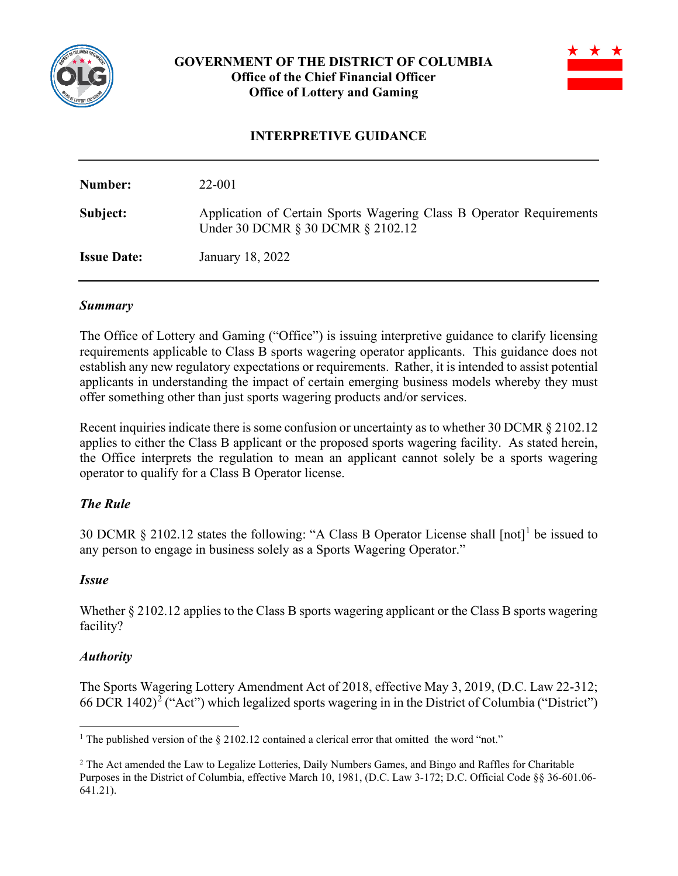

# **GOVERNMENT OF THE DISTRICT OF COLUMBIA Office of the Chief Financial Officer Office of Lottery and Gaming**



## **INTERPRETIVE GUIDANCE**

| Number:            | 22-001                                                                                                    |
|--------------------|-----------------------------------------------------------------------------------------------------------|
| Subject:           | Application of Certain Sports Wagering Class B Operator Requirements<br>Under 30 DCMR § 30 DCMR § 2102.12 |
| <b>Issue Date:</b> | January 18, 2022                                                                                          |

#### *Summary*

The Office of Lottery and Gaming ("Office") is issuing interpretive guidance to clarify licensing requirements applicable to Class B sports wagering operator applicants. This guidance does not establish any new regulatory expectations or requirements. Rather, it is intended to assist potential applicants in understanding the impact of certain emerging business models whereby they must offer something other than just sports wagering products and/or services.

Recent inquiries indicate there is some confusion or uncertainty as to whether 30 DCMR § 2102.12 applies to either the Class B applicant or the proposed sports wagering facility. As stated herein, the Office interprets the regulation to mean an applicant cannot solely be a sports wagering operator to qualify for a Class B Operator license.

### *The Rule*

30 DCMR § 2102.12 states the following: "A Class B Operator License shall [not] [1](#page-0-0) be issued to any person to engage in business solely as a Sports Wagering Operator."

### *Issue*

Whether  $\S 2102.12$  applies to the Class B sports wagering applicant or the Class B sports wagering facility?

### *Authority*

The Sports Wagering Lottery Amendment Act of 2018, effective May 3, 2019, (D.C. Law 22-312; 66 DCR 140[2](#page-0-1))<sup>2</sup> ("Act") which legalized sports wagering in in the District of Columbia ("District")

<span id="page-0-0"></span><sup>&</sup>lt;sup>1</sup> The published version of the  $\S$  2102.12 contained a clerical error that omitted the word "not."

<span id="page-0-1"></span><sup>&</sup>lt;sup>2</sup> The Act amended the Law to Legalize Lotteries, Daily Numbers Games, and Bingo and Raffles for Charitable Purposes in the District of Columbia, effective March 10, 1981, (D.C. Law 3-172; D.C. Official Code §§ 36-601.06- 641.21).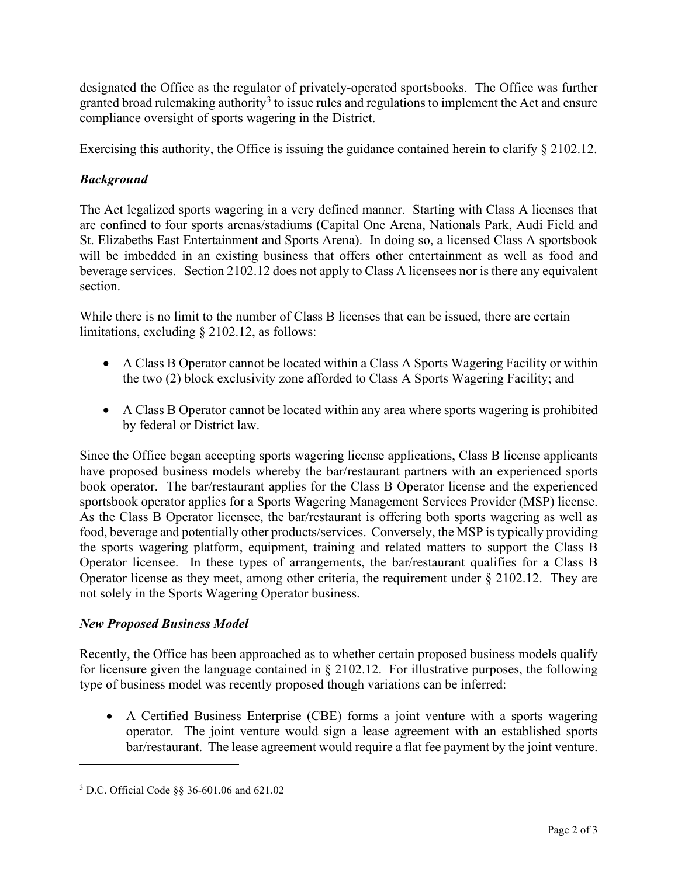designated the Office as the regulator of privately-operated sportsbooks. The Office was further granted broad rulemaking authority<sup>[3](#page-1-0)</sup> to issue rules and regulations to implement the Act and ensure compliance oversight of sports wagering in the District.

Exercising this authority, the Office is issuing the guidance contained herein to clarify § 2102.12.

# *Background*

The Act legalized sports wagering in a very defined manner. Starting with Class A licenses that are confined to four sports arenas/stadiums (Capital One Arena, Nationals Park, Audi Field and St. Elizabeths East Entertainment and Sports Arena). In doing so, a licensed Class A sportsbook will be imbedded in an existing business that offers other entertainment as well as food and beverage services. Section 2102.12 does not apply to Class A licensees nor is there any equivalent section.

While there is no limit to the number of Class B licenses that can be issued, there are certain limitations, excluding § 2102.12, as follows:

- A Class B Operator cannot be located within a Class A Sports Wagering Facility or within the two (2) block exclusivity zone afforded to Class A Sports Wagering Facility; and
- A Class B Operator cannot be located within any area where sports wagering is prohibited by federal or District law.

Since the Office began accepting sports wagering license applications, Class B license applicants have proposed business models whereby the bar/restaurant partners with an experienced sports book operator. The bar/restaurant applies for the Class B Operator license and the experienced sportsbook operator applies for a Sports Wagering Management Services Provider (MSP) license. As the Class B Operator licensee, the bar/restaurant is offering both sports wagering as well as food, beverage and potentially other products/services. Conversely, the MSP is typically providing the sports wagering platform, equipment, training and related matters to support the Class B Operator licensee. In these types of arrangements, the bar/restaurant qualifies for a Class B Operator license as they meet, among other criteria, the requirement under § 2102.12. They are not solely in the Sports Wagering Operator business.

# *New Proposed Business Model*

Recently, the Office has been approached as to whether certain proposed business models qualify for licensure given the language contained in § 2102.12. For illustrative purposes, the following type of business model was recently proposed though variations can be inferred:

• A Certified Business Enterprise (CBE) forms a joint venture with a sports wagering operator. The joint venture would sign a lease agreement with an established sports bar/restaurant. The lease agreement would require a flat fee payment by the joint venture.

<span id="page-1-0"></span><sup>3</sup> D.C. Official Code §§ 36-601.06 and 621.02